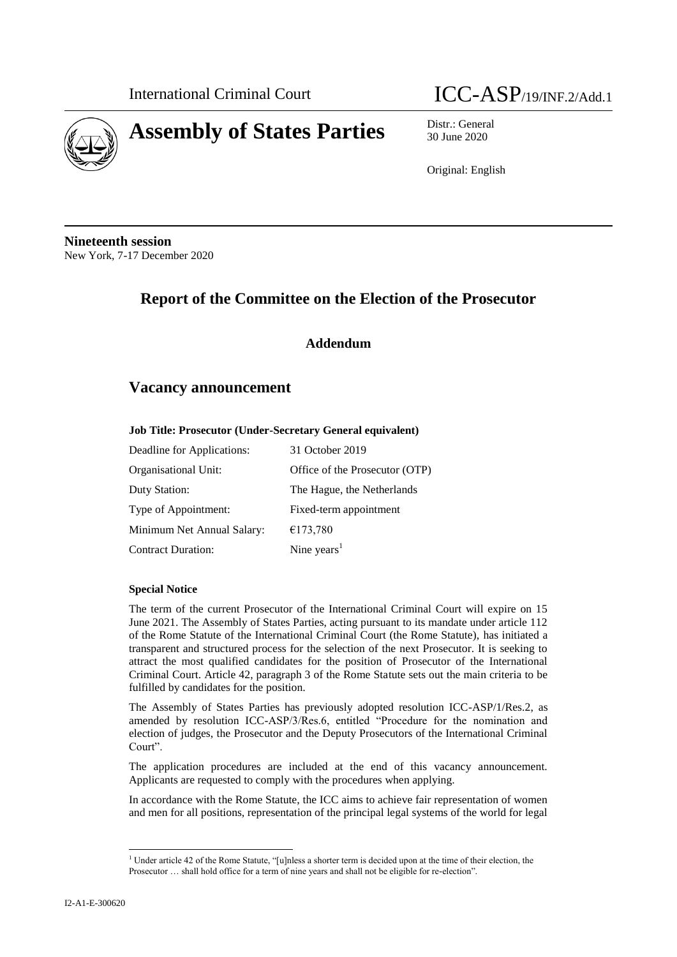

International Criminal Court **ICC-ASP**/19/INF.2/Add.1

30 June 2020

Original: English

**Nineteenth session** New York, 7-17 December 2020

# **Report of the Committee on the Election of the Prosecutor**

### **Addendum**

## **Vacancy announcement**

#### **Job Title: Prosecutor (Under-Secretary General equivalent)**

| Deadline for Applications: | 31 October 2019                |
|----------------------------|--------------------------------|
| Organisational Unit:       | Office of the Prosecutor (OTP) |
| Duty Station:              | The Hague, the Netherlands     |
| Type of Appointment:       | Fixed-term appointment         |
| Minimum Net Annual Salary: | €173,780                       |
| <b>Contract Duration:</b>  | Nine years $1$                 |

#### **Special Notice**

The term of the current Prosecutor of the International Criminal Court will expire on 15 June 2021. The Assembly of States Parties, acting pursuant to its mandate under article 112 of the Rome Statute of the International Criminal Court (the Rome Statute), has initiated a transparent and structured process for the selection of the next Prosecutor. It is seeking to attract the most qualified candidates for the position of Prosecutor of the International Criminal Court. Article 42, paragraph 3 of the Rome Statute sets out the main criteria to be fulfilled by candidates for the position.

The Assembly of States Parties has previously adopted resolution ICC-ASP/1/Res.2, as amended by resolution ICC-ASP/3/Res.6, entitled "Procedure for the nomination and election of judges, the Prosecutor and the Deputy Prosecutors of the International Criminal Court".

The application procedures are included at the end of this vacancy announcement. Applicants are requested to comply with the procedures when applying.

In accordance with the Rome Statute, the ICC aims to achieve fair representation of women and men for all positions, representation of the principal legal systems of the world for legal

 $\overline{a}$ 

<sup>&</sup>lt;sup>1</sup> Under article 42 of the Rome Statute, "[u]nless a shorter term is decided upon at the time of their election, the Prosecutor … shall hold office for a term of nine years and shall not be eligible for re-election".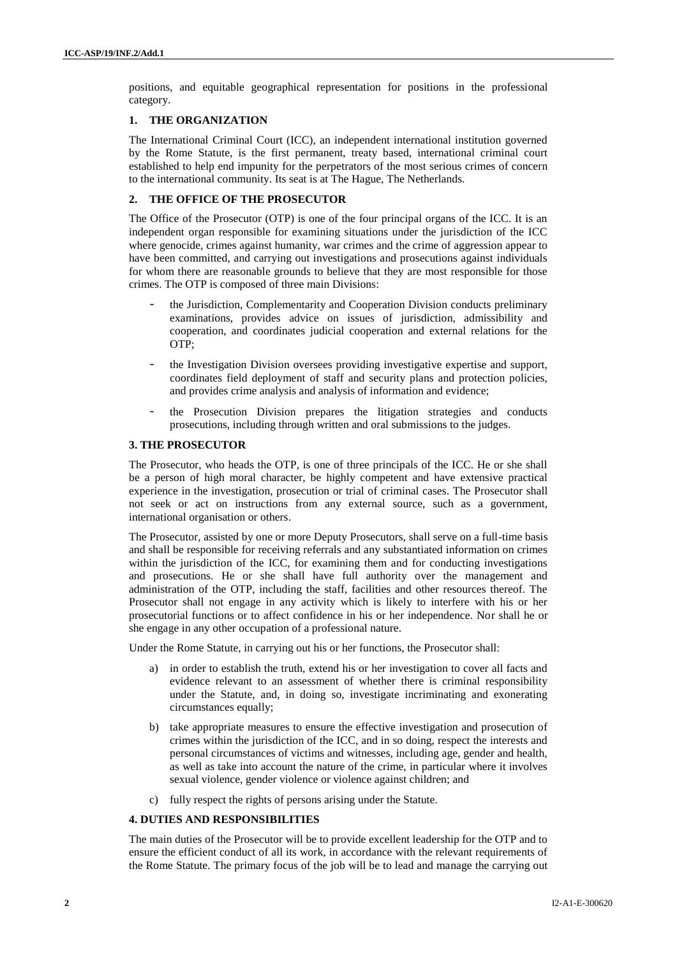positions, and equitable geographical representation for positions in the professional category.

### **1. THE ORGANIZATION**

The International Criminal Court (ICC), an independent international institution governed by the Rome Statute, is the first permanent, treaty based, international criminal court established to help end impunity for the perpetrators of the most serious crimes of concern to the international community. Its seat is at The Hague, The Netherlands.

### **2. THE OFFICE OF THE PROSECUTOR**

The Office of the Prosecutor (OTP) is one of the four principal organs of the ICC. It is an independent organ responsible for examining situations under the jurisdiction of the ICC where genocide, crimes against humanity, war crimes and the crime of aggression appear to have been committed, and carrying out investigations and prosecutions against individuals for whom there are reasonable grounds to believe that they are most responsible for those crimes. The OTP is composed of three main Divisions:

- the Jurisdiction, Complementarity and Cooperation Division conducts preliminary examinations, provides advice on issues of jurisdiction, admissibility and cooperation, and coordinates judicial cooperation and external relations for the OTP;
- the Investigation Division oversees providing investigative expertise and support, coordinates field deployment of staff and security plans and protection policies, and provides crime analysis and analysis of information and evidence;
- the Prosecution Division prepares the litigation strategies and conducts prosecutions, including through written and oral submissions to the judges.

#### **3. THE PROSECUTOR**

The Prosecutor, who heads the OTP, is one of three principals of the ICC. He or she shall be a person of high moral character, be highly competent and have extensive practical experience in the investigation, prosecution or trial of criminal cases. The Prosecutor shall not seek or act on instructions from any external source, such as a government, international organisation or others.

The Prosecutor, assisted by one or more Deputy Prosecutors, shall serve on a full-time basis and shall be responsible for receiving referrals and any substantiated information on crimes within the jurisdiction of the ICC, for examining them and for conducting investigations and prosecutions. He or she shall have full authority over the management and administration of the OTP, including the staff, facilities and other resources thereof. The Prosecutor shall not engage in any activity which is likely to interfere with his or her prosecutorial functions or to affect confidence in his or her independence. Nor shall he or she engage in any other occupation of a professional nature.

Under the Rome Statute, in carrying out his or her functions, the Prosecutor shall:

- a) in order to establish the truth, extend his or her investigation to cover all facts and evidence relevant to an assessment of whether there is criminal responsibility under the Statute, and, in doing so, investigate incriminating and exonerating circumstances equally;
- b) take appropriate measures to ensure the effective investigation and prosecution of crimes within the jurisdiction of the ICC, and in so doing, respect the interests and personal circumstances of victims and witnesses, including age, gender and health, as well as take into account the nature of the crime, in particular where it involves sexual violence, gender violence or violence against children; and
- c) fully respect the rights of persons arising under the Statute.

### **4. DUTIES AND RESPONSIBILITIES**

The main duties of the Prosecutor will be to provide excellent leadership for the OTP and to ensure the efficient conduct of all its work, in accordance with the relevant requirements of the Rome Statute. The primary focus of the job will be to lead and manage the carrying out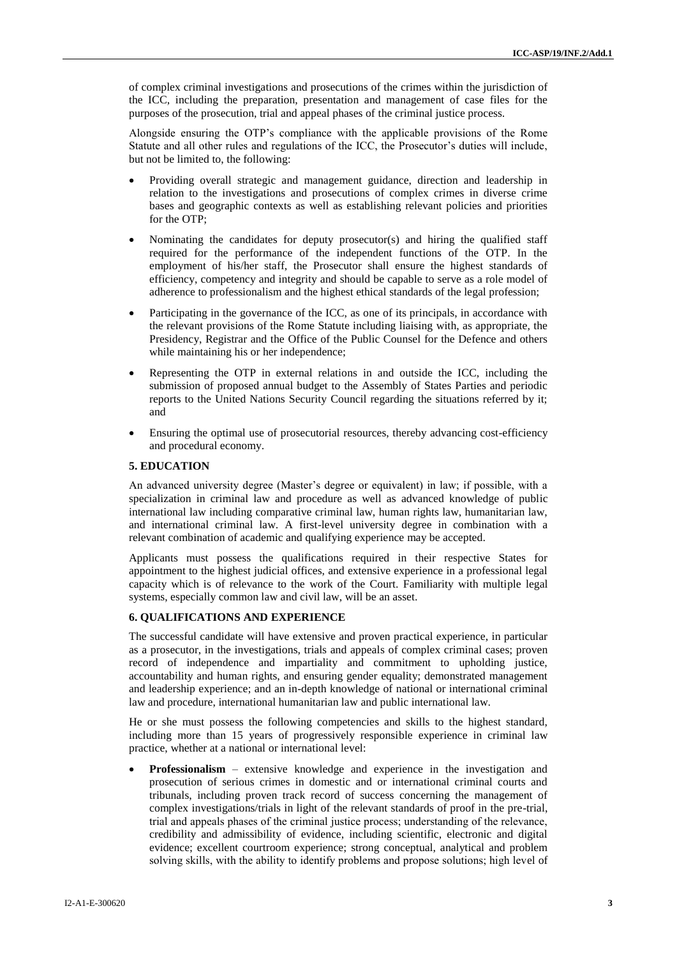of complex criminal investigations and prosecutions of the crimes within the jurisdiction of the ICC, including the preparation, presentation and management of case files for the purposes of the prosecution, trial and appeal phases of the criminal justice process.

Alongside ensuring the OTP's compliance with the applicable provisions of the Rome Statute and all other rules and regulations of the ICC, the Prosecutor's duties will include, but not be limited to, the following:

- Providing overall strategic and management guidance, direction and leadership in relation to the investigations and prosecutions of complex crimes in diverse crime bases and geographic contexts as well as establishing relevant policies and priorities for the OTP;
- Nominating the candidates for deputy prosecutor(s) and hiring the qualified staff required for the performance of the independent functions of the OTP. In the employment of his/her staff, the Prosecutor shall ensure the highest standards of efficiency, competency and integrity and should be capable to serve as a role model of adherence to professionalism and the highest ethical standards of the legal profession;
- Participating in the governance of the ICC, as one of its principals, in accordance with the relevant provisions of the Rome Statute including liaising with, as appropriate, the Presidency, Registrar and the Office of the Public Counsel for the Defence and others while maintaining his or her independence;
- Representing the OTP in external relations in and outside the ICC, including the submission of proposed annual budget to the Assembly of States Parties and periodic reports to the United Nations Security Council regarding the situations referred by it; and
- Ensuring the optimal use of prosecutorial resources, thereby advancing cost-efficiency and procedural economy.

#### **5. EDUCATION**

An advanced university degree (Master's degree or equivalent) in law; if possible, with a specialization in criminal law and procedure as well as advanced knowledge of public international law including comparative criminal law, human rights law, humanitarian law, and international criminal law. A first-level university degree in combination with a relevant combination of academic and qualifying experience may be accepted.

Applicants must possess the qualifications required in their respective States for appointment to the highest judicial offices, and extensive experience in a professional legal capacity which is of relevance to the work of the Court. Familiarity with multiple legal systems, especially common law and civil law, will be an asset.

#### **6. QUALIFICATIONS AND EXPERIENCE**

The successful candidate will have extensive and proven practical experience, in particular as a prosecutor, in the investigations, trials and appeals of complex criminal cases; proven record of independence and impartiality and commitment to upholding justice, accountability and human rights, and ensuring gender equality; demonstrated management and leadership experience; and an in-depth knowledge of national or international criminal law and procedure, international humanitarian law and public international law.

He or she must possess the following competencies and skills to the highest standard, including more than 15 years of progressively responsible experience in criminal law practice, whether at a national or international level:

**Professionalism** – extensive knowledge and experience in the investigation and prosecution of serious crimes in domestic and or international criminal courts and tribunals, including proven track record of success concerning the management of complex investigations/trials in light of the relevant standards of proof in the pre-trial, trial and appeals phases of the criminal justice process; understanding of the relevance, credibility and admissibility of evidence, including scientific, electronic and digital evidence; excellent courtroom experience; strong conceptual, analytical and problem solving skills, with the ability to identify problems and propose solutions; high level of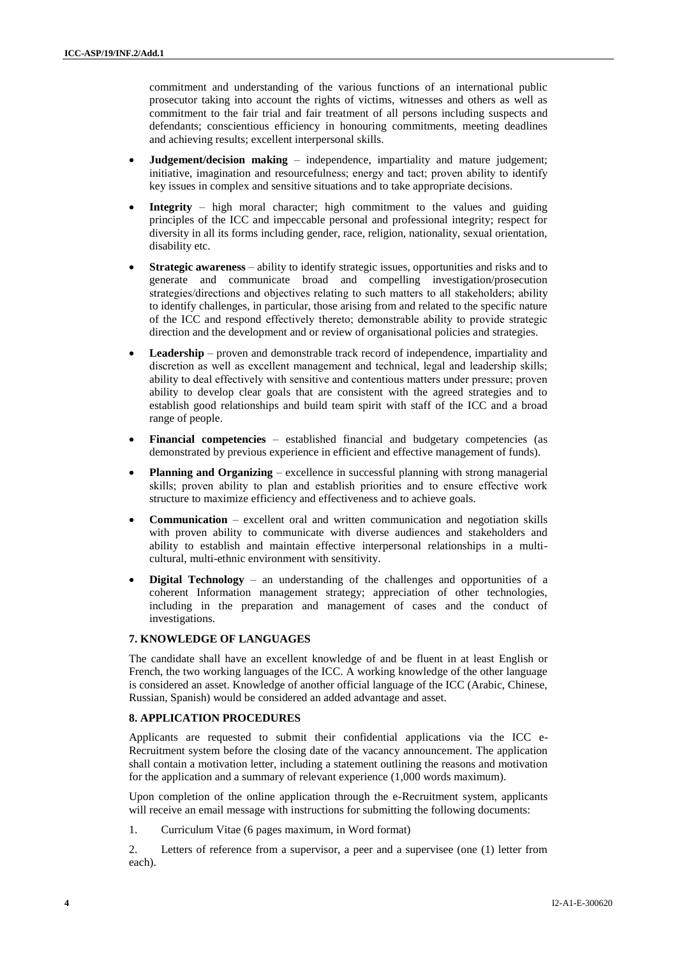commitment and understanding of the various functions of an international public prosecutor taking into account the rights of victims, witnesses and others as well as commitment to the fair trial and fair treatment of all persons including suspects and defendants; conscientious efficiency in honouring commitments, meeting deadlines and achieving results; excellent interpersonal skills.

- **Judgement/decision making**  independence, impartiality and mature judgement; initiative, imagination and resourcefulness; energy and tact; proven ability to identify key issues in complex and sensitive situations and to take appropriate decisions.
- **Integrity** high moral character; high commitment to the values and guiding principles of the ICC and impeccable personal and professional integrity; respect for diversity in all its forms including gender, race, religion, nationality, sexual orientation, disability etc.
- **Strategic awareness** ability to identify strategic issues, opportunities and risks and to generate and communicate broad and compelling investigation/prosecution strategies/directions and objectives relating to such matters to all stakeholders; ability to identify challenges, in particular, those arising from and related to the specific nature of the ICC and respond effectively thereto; demonstrable ability to provide strategic direction and the development and or review of organisational policies and strategies.
- **Leadership** proven and demonstrable track record of independence, impartiality and discretion as well as excellent management and technical, legal and leadership skills; ability to deal effectively with sensitive and contentious matters under pressure; proven ability to develop clear goals that are consistent with the agreed strategies and to establish good relationships and build team spirit with staff of the ICC and a broad range of people.
- **Financial competencies**  established financial and budgetary competencies (as demonstrated by previous experience in efficient and effective management of funds).
- **Planning and Organizing** excellence in successful planning with strong managerial skills; proven ability to plan and establish priorities and to ensure effective work structure to maximize efficiency and effectiveness and to achieve goals.
- **Communication** excellent oral and written communication and negotiation skills with proven ability to communicate with diverse audiences and stakeholders and ability to establish and maintain effective interpersonal relationships in a multicultural, multi-ethnic environment with sensitivity.
- **Digital Technology** an understanding of the challenges and opportunities of a coherent Information management strategy; appreciation of other technologies, including in the preparation and management of cases and the conduct of investigations.

#### **7. KNOWLEDGE OF LANGUAGES**

The candidate shall have an excellent knowledge of and be fluent in at least English or French, the two working languages of the ICC. A working knowledge of the other language is considered an asset. Knowledge of another official language of the ICC (Arabic, Chinese, Russian, Spanish) would be considered an added advantage and asset.

#### **8. APPLICATION PROCEDURES**

Applicants are requested to submit their confidential applications via the ICC e-Recruitment system before the closing date of the vacancy announcement. The application shall contain a motivation letter, including a statement outlining the reasons and motivation for the application and a summary of relevant experience (1,000 words maximum).

Upon completion of the online application through the e-Recruitment system, applicants will receive an email message with instructions for submitting the following documents:

1. Curriculum Vitae (6 pages maximum, in Word format)

2. Letters of reference from a supervisor, a peer and a supervisee (one (1) letter from each).